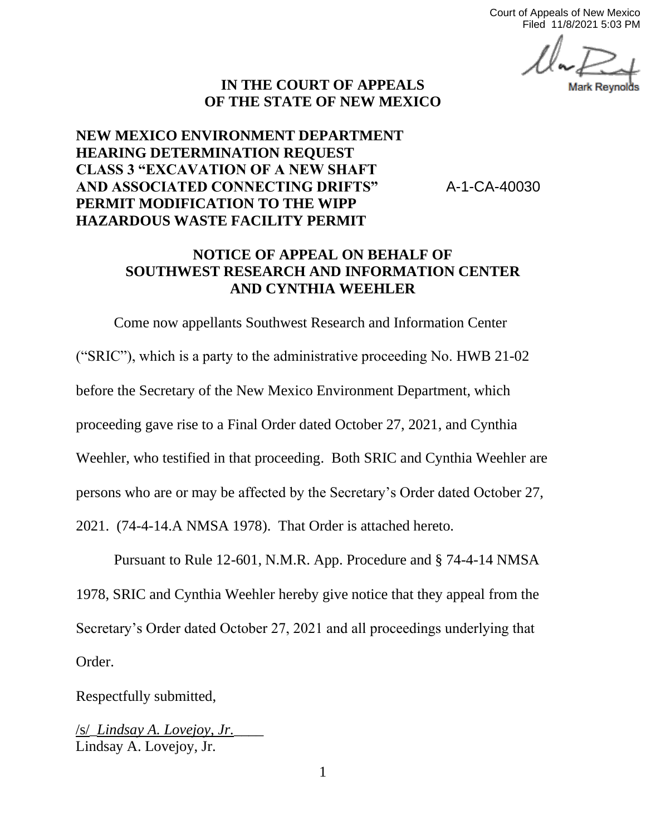Court of Appeals of New Mexico Filed 11/8/2021 5:03 PM

## **IN THE COURT OF APPEALS OF THE STATE OF NEW MEXICO**

## **NEW MEXICO ENVIRONMENT DEPARTMENT HEARING DETERMINATION REQUEST CLASS 3 "EXCAVATION OF A NEW SHAFT AND ASSOCIATED CONNECTING DRIFTS" PERMIT MODIFICATION TO THE WIPP HAZARDOUS WASTE FACILITY PERMIT**

A-1-CA-40030

## **NOTICE OF APPEAL ON BEHALF OF SOUTHWEST RESEARCH AND INFORMATION CENTER AND CYNTHIA WEEHLER**

Come now appellants Southwest Research and Information Center ("SRIC"), which is a party to the administrative proceeding No. HWB 21-02 before the Secretary of the New Mexico Environment Department, which proceeding gave rise to a Final Order dated October 27, 2021, and Cynthia Weehler, who testified in that proceeding. Both SRIC and Cynthia Weehler are persons who are or may be affected by the Secretary's Order dated October 27, 2021. (74-4-14.A NMSA 1978). That Order is attached hereto.

Pursuant to Rule 12-601, N.M.R. App. Procedure and § 74-4-14 NMSA 1978, SRIC and Cynthia Weehler hereby give notice that they appeal from the Secretary's Order dated October 27, 2021 and all proceedings underlying that Order.

Respectfully submitted,

/s/\_*Lindsay A. Lovejoy, Jr.*\_\_\_\_ Lindsay A. Lovejoy, Jr.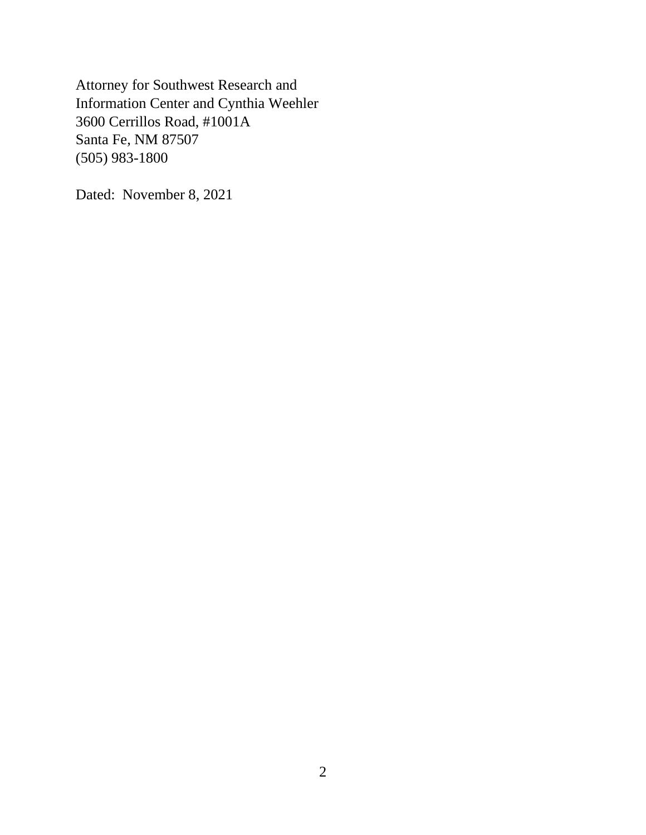Attorney for Southwest Research and Information Center and Cynthia Weehler 3600 Cerrillos Road, #1001A Santa Fe, NM 87507 (505) 983-1800

Dated: November 8, 2021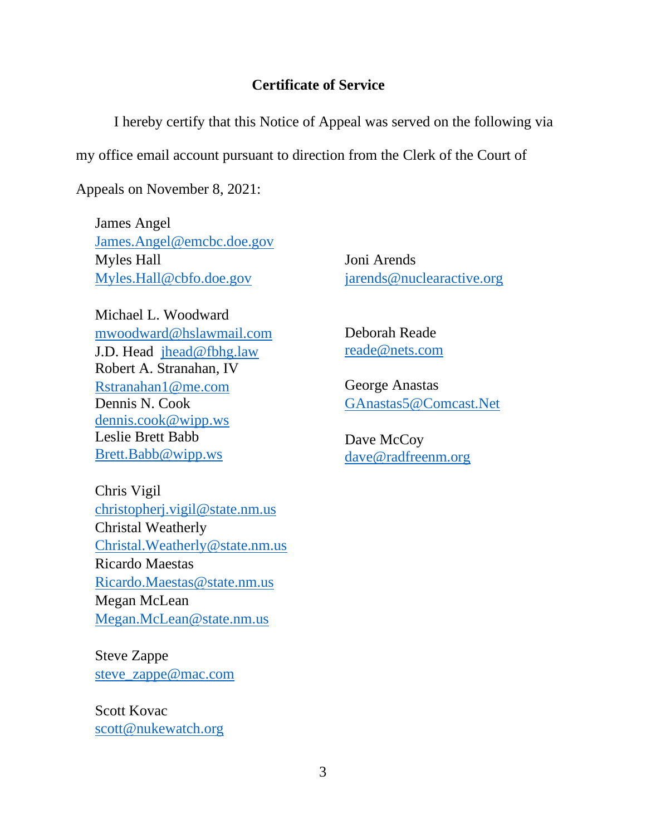## **Certificate of Service**

I hereby certify that this Notice of Appeal was served on the following via my office email account pursuant to direction from the Clerk of the Court of

Appeals on November 8, 2021:

James Angel [James.Angel@emcbc.](mailto:James.Angel@emcbc)doe.gov Myles Hall [Myles.Hall@cbfo.](mailto:Myles.Hall@cbfo)doe.gov

Michael L. Woodward mwoodward@hslawmail.com J.D. Head jhead@fbhg.law Robert A. Stranahan, IV Rstranahan1@me.com Dennis N. Cook dennis.cook@wipp.ws Leslie Brett Babb Brett.Babb@wipp.ws

Chris Vigil christopherj.vigil@state.nm.us Christal Weatherly Christal.Weatherly@state.nm.us Ricardo Maestas Ricardo.Maestas@state.nm.us Megan McLean Megan.McLean@state.nm.us

Steve Zappe steve\_zappe@mac.com

Scott Kovac scott@nukewatch.org Joni Arends jarends@nuclearactive.org

Deborah Reade reade@nets.com

George Anastas GAnastas5@Comcast.Net

Dave McCoy dave@radfreenm.org